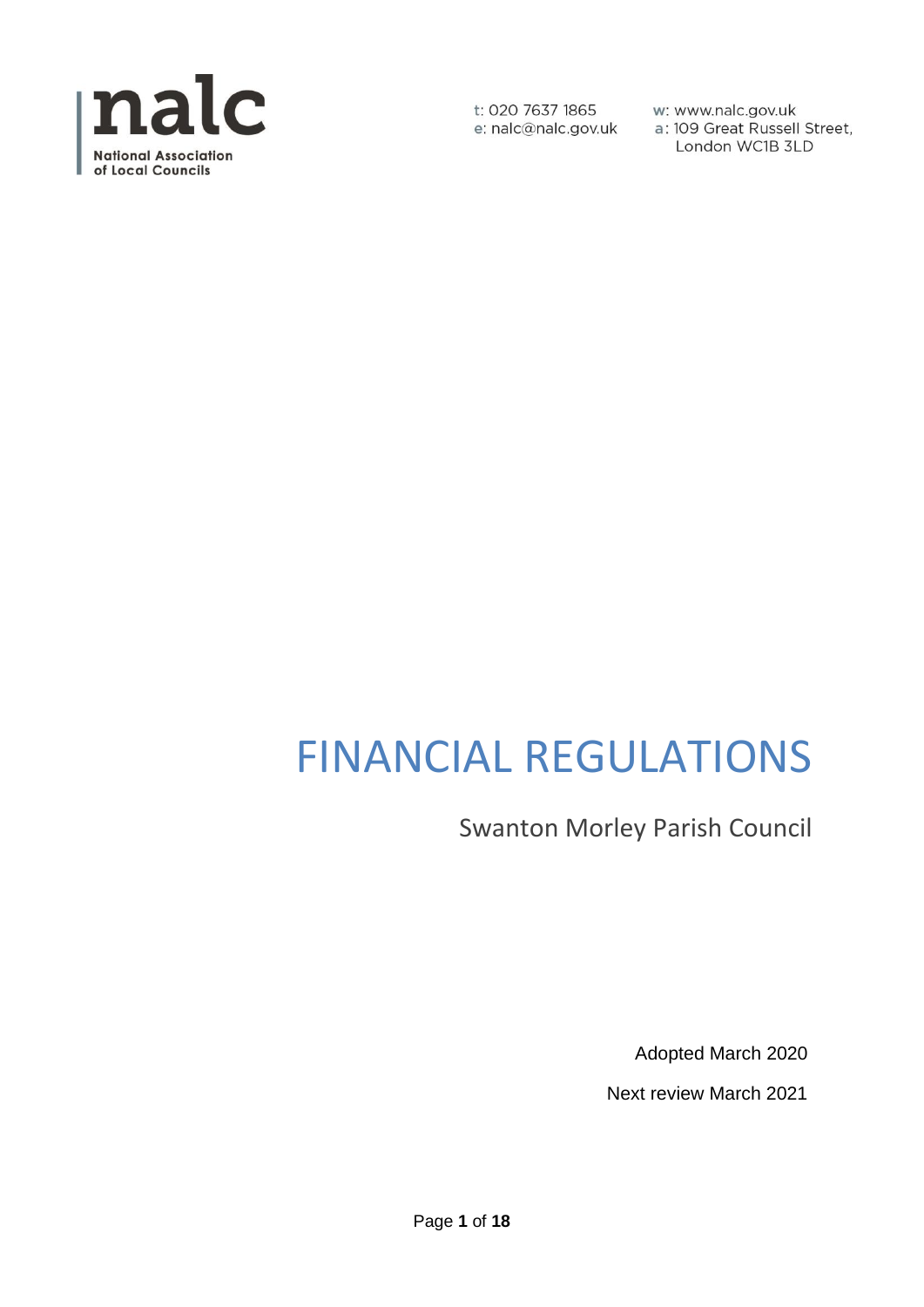

w: www.nalc.gov.uk a: 109 Great Russell Street, London WC1B 3LD

# FINANCIAL REGULATIONS

Swanton Morley Parish Council

Adopted March 2020

Next review March 2021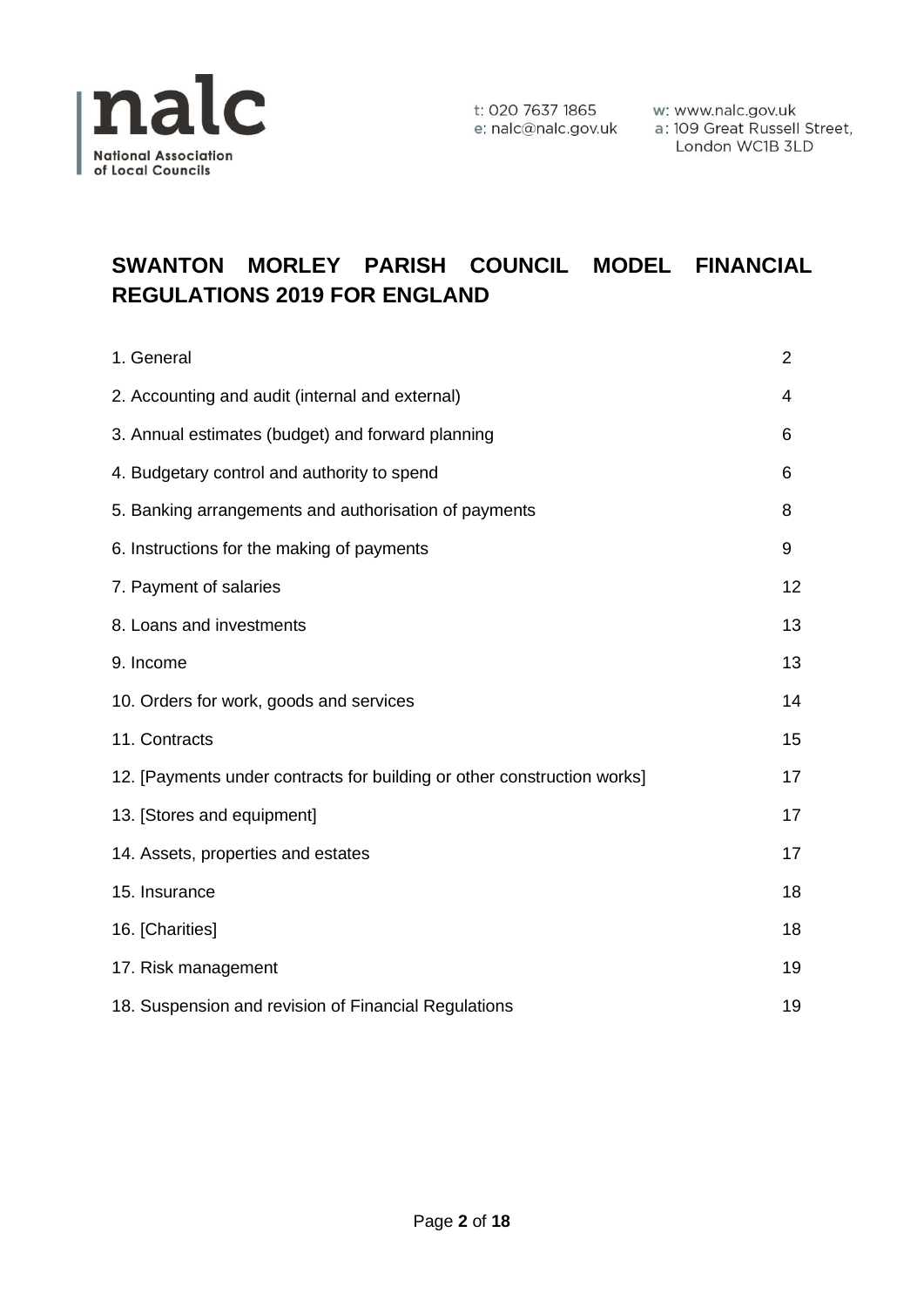

# **SWANTON MORLEY PARISH COUNCIL MODEL FINANCIAL REGULATIONS 2019 FOR ENGLAND**

| 1. General                                                              | $\overline{2}$ |
|-------------------------------------------------------------------------|----------------|
| 2. Accounting and audit (internal and external)                         | 4              |
| 3. Annual estimates (budget) and forward planning                       | 6              |
| 4. Budgetary control and authority to spend                             | 6              |
| 5. Banking arrangements and authorisation of payments                   | 8              |
| 6. Instructions for the making of payments                              | 9              |
| 7. Payment of salaries                                                  | 12             |
| 8. Loans and investments                                                | 13             |
| 9. Income                                                               | 13             |
| 10. Orders for work, goods and services                                 | 14             |
| 11. Contracts                                                           | 15             |
| 12. [Payments under contracts for building or other construction works] | 17             |
| 13. [Stores and equipment]                                              | 17             |
| 14. Assets, properties and estates                                      | 17             |
| 15. Insurance                                                           | 18             |
| 16. [Charities]                                                         | 18             |
| 17. Risk management                                                     | 19             |
| 18. Suspension and revision of Financial Regulations                    | 19             |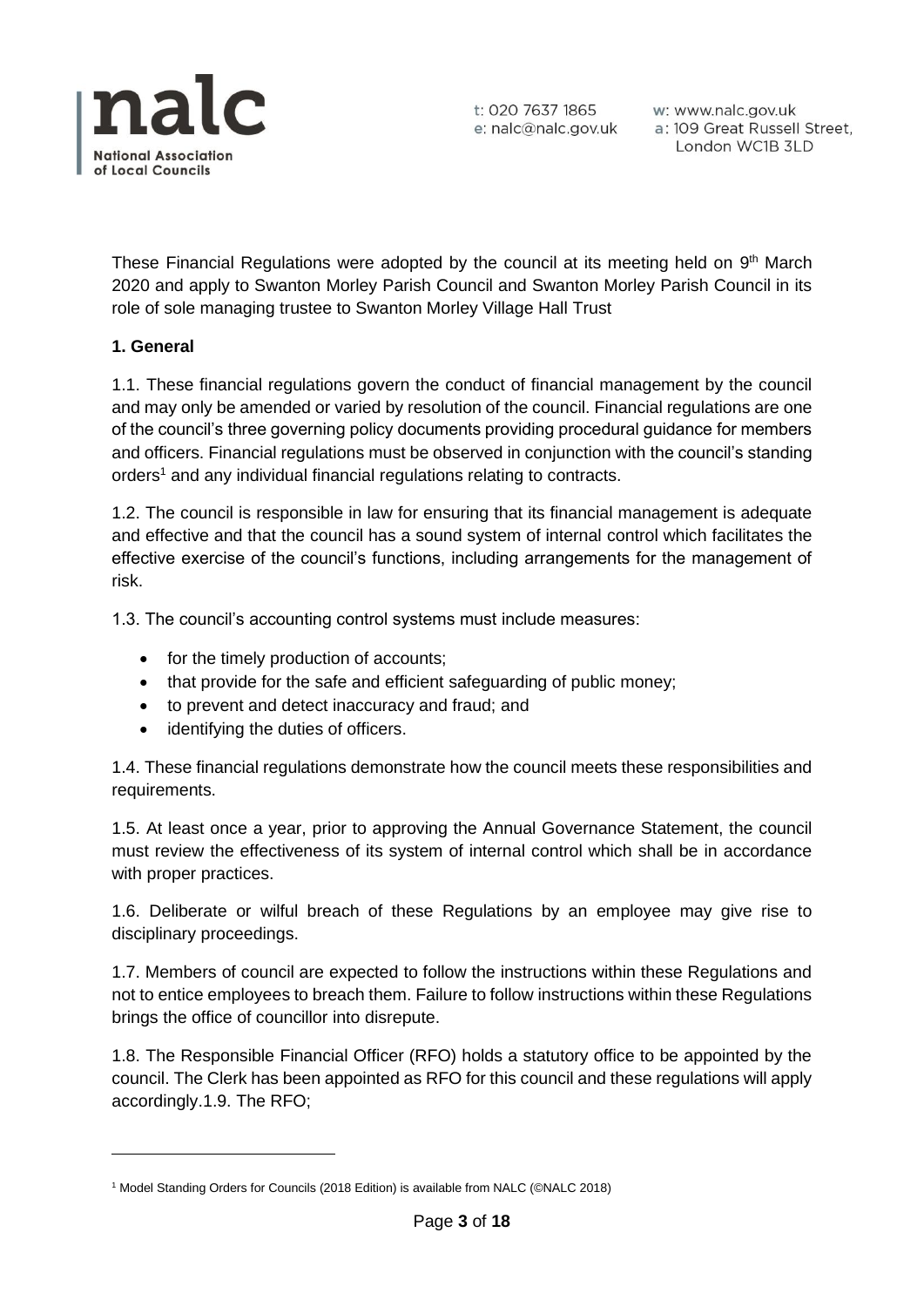

w: www.nalc.gov.uk a: 109 Great Russell Street, London WC1B 3LD

These Financial Regulations were adopted by the council at its meeting held on 9<sup>th</sup> March 2020 and apply to Swanton Morley Parish Council and Swanton Morley Parish Council in its role of sole managing trustee to Swanton Morley Village Hall Trust

#### **1. General**

1.1. These financial regulations govern the conduct of financial management by the council and may only be amended or varied by resolution of the council. Financial regulations are one of the council's three governing policy documents providing procedural guidance for members and officers. Financial regulations must be observed in conjunction with the council's standing orders<sup>1</sup> and any individual financial regulations relating to contracts.

1.2. The council is responsible in law for ensuring that its financial management is adequate and effective and that the council has a sound system of internal control which facilitates the effective exercise of the council's functions, including arrangements for the management of risk.

1.3. The council's accounting control systems must include measures:

- for the timely production of accounts;
- that provide for the safe and efficient safeguarding of public money;
- to prevent and detect inaccuracy and fraud; and
- identifying the duties of officers.

1.4. These financial regulations demonstrate how the council meets these responsibilities and requirements.

1.5. At least once a year, prior to approving the Annual Governance Statement, the council must review the effectiveness of its system of internal control which shall be in accordance with proper practices.

1.6. Deliberate or wilful breach of these Regulations by an employee may give rise to disciplinary proceedings.

1.7. Members of council are expected to follow the instructions within these Regulations and not to entice employees to breach them. Failure to follow instructions within these Regulations brings the office of councillor into disrepute.

1.8. The Responsible Financial Officer (RFO) holds a statutory office to be appointed by the council. The Clerk has been appointed as RFO for this council and these regulations will apply accordingly.1.9. The RFO;

<sup>&</sup>lt;sup>1</sup> Model Standing Orders for Councils (2018 Edition) is available from NALC (©NALC 2018)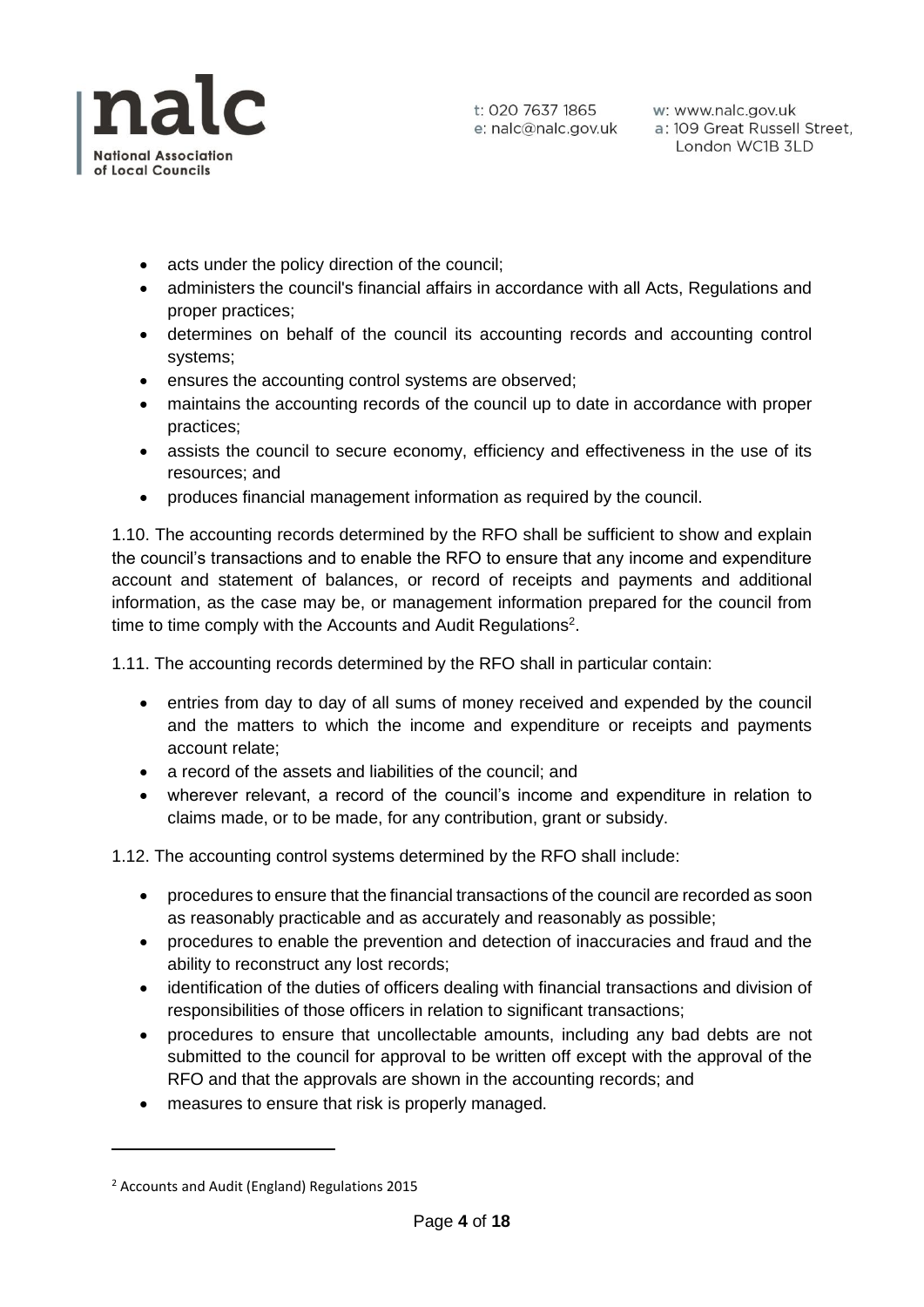

- acts under the policy direction of the council;
- administers the council's financial affairs in accordance with all Acts, Regulations and proper practices;
- determines on behalf of the council its accounting records and accounting control systems;
- ensures the accounting control systems are observed;
- maintains the accounting records of the council up to date in accordance with proper practices;
- assists the council to secure economy, efficiency and effectiveness in the use of its resources; and
- produces financial management information as required by the council.

1.10. The accounting records determined by the RFO shall be sufficient to show and explain the council's transactions and to enable the RFO to ensure that any income and expenditure account and statement of balances, or record of receipts and payments and additional information, as the case may be, or management information prepared for the council from time to time comply with the Accounts and Audit Regulations<sup>2</sup>.

1.11. The accounting records determined by the RFO shall in particular contain:

- entries from day to day of all sums of money received and expended by the council and the matters to which the income and expenditure or receipts and payments account relate;
- a record of the assets and liabilities of the council; and
- wherever relevant, a record of the council's income and expenditure in relation to claims made, or to be made, for any contribution, grant or subsidy.

1.12. The accounting control systems determined by the RFO shall include:

- procedures to ensure that the financial transactions of the council are recorded as soon as reasonably practicable and as accurately and reasonably as possible;
- procedures to enable the prevention and detection of inaccuracies and fraud and the ability to reconstruct any lost records;
- identification of the duties of officers dealing with financial transactions and division of responsibilities of those officers in relation to significant transactions;
- procedures to ensure that uncollectable amounts, including any bad debts are not submitted to the council for approval to be written off except with the approval of the RFO and that the approvals are shown in the accounting records; and
- measures to ensure that risk is properly managed.

<sup>2</sup> Accounts and Audit (England) Regulations 2015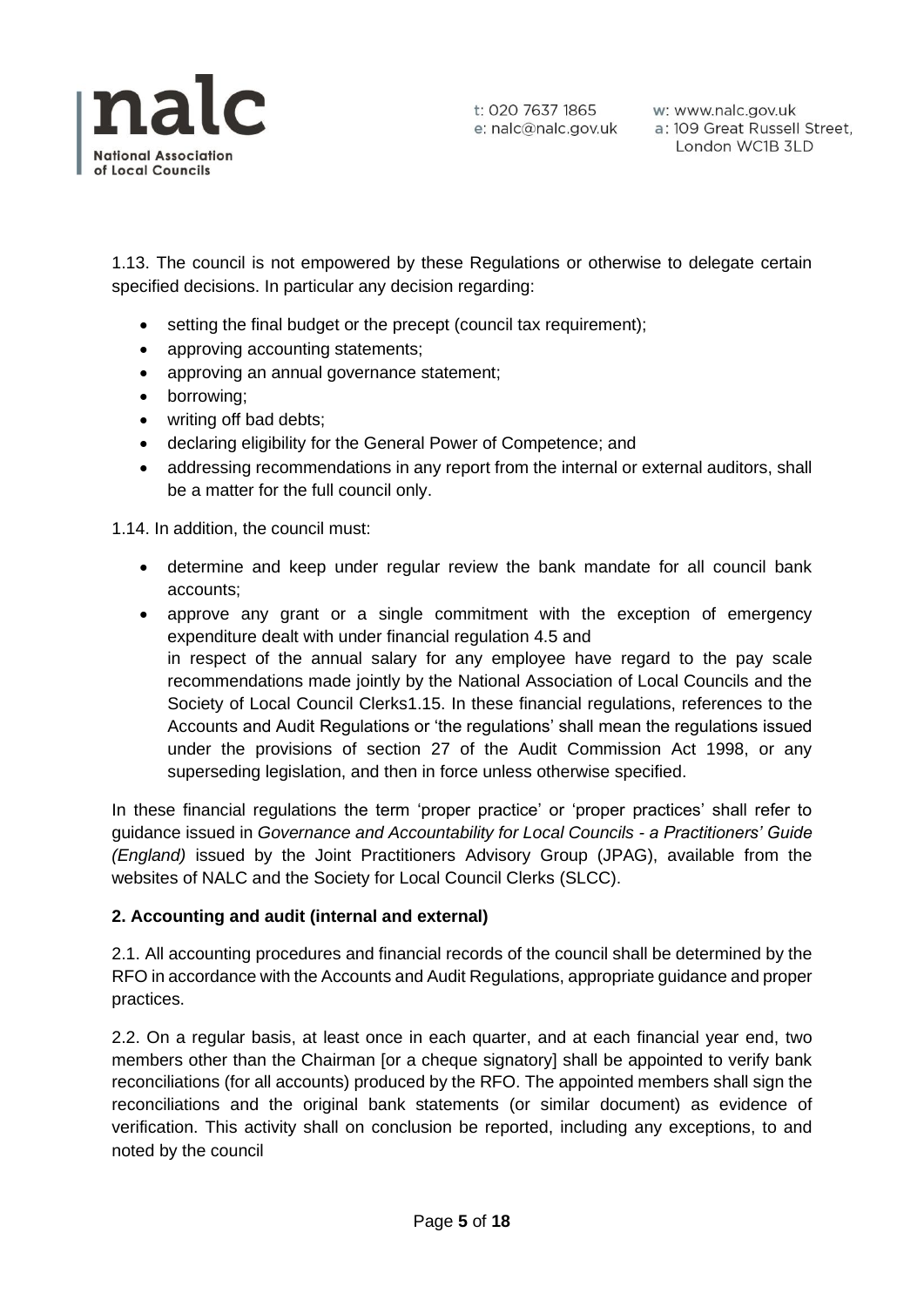

1.13. The council is not empowered by these Regulations or otherwise to delegate certain specified decisions. In particular any decision regarding:

- setting the final budget or the precept (council tax requirement);
- approving accounting statements;
- approving an annual governance statement;
- borrowing;
- writing off bad debts;
- declaring eligibility for the General Power of Competence; and
- addressing recommendations in any report from the internal or external auditors, shall be a matter for the full council only.

1.14. In addition, the council must:

- determine and keep under regular review the bank mandate for all council bank accounts;
- approve any grant or a single commitment with the exception of emergency expenditure dealt with under financial regulation 4.5 and in respect of the annual salary for any employee have regard to the pay scale recommendations made jointly by the National Association of Local Councils and the Society of Local Council Clerks1.15. In these financial regulations, references to the Accounts and Audit Regulations or 'the regulations' shall mean the regulations issued under the provisions of section 27 of the Audit Commission Act 1998, or any superseding legislation, and then in force unless otherwise specified.

In these financial regulations the term 'proper practice' or 'proper practices' shall refer to guidance issued in *Governance and Accountability for Local Councils - a Practitioners' Guide (England)* issued by the Joint Practitioners Advisory Group (JPAG), available from the websites of NALC and the Society for Local Council Clerks (SLCC).

# **2. Accounting and audit (internal and external)**

2.1. All accounting procedures and financial records of the council shall be determined by the RFO in accordance with the Accounts and Audit Regulations, appropriate guidance and proper practices.

2.2. On a regular basis, at least once in each quarter, and at each financial year end, two members other than the Chairman [or a cheque signatory] shall be appointed to verify bank reconciliations (for all accounts) produced by the RFO. The appointed members shall sign the reconciliations and the original bank statements (or similar document) as evidence of verification. This activity shall on conclusion be reported, including any exceptions, to and noted by the council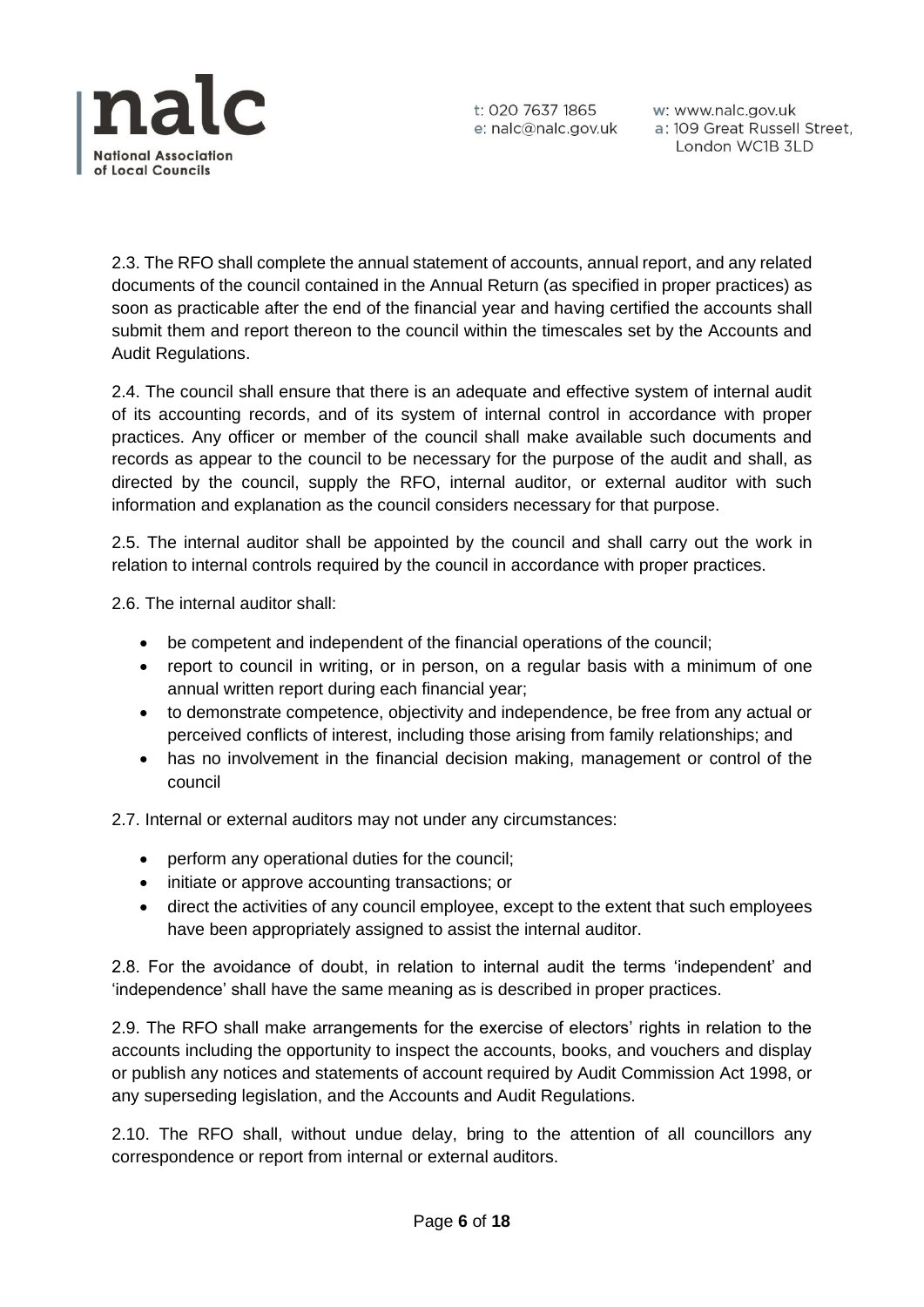

2.3. The RFO shall complete the annual statement of accounts, annual report, and any related documents of the council contained in the Annual Return (as specified in proper practices) as soon as practicable after the end of the financial year and having certified the accounts shall submit them and report thereon to the council within the timescales set by the Accounts and Audit Regulations.

2.4. The council shall ensure that there is an adequate and effective system of internal audit of its accounting records, and of its system of internal control in accordance with proper practices. Any officer or member of the council shall make available such documents and records as appear to the council to be necessary for the purpose of the audit and shall, as directed by the council, supply the RFO, internal auditor, or external auditor with such information and explanation as the council considers necessary for that purpose.

2.5. The internal auditor shall be appointed by the council and shall carry out the work in relation to internal controls required by the council in accordance with proper practices.

2.6. The internal auditor shall:

- be competent and independent of the financial operations of the council;
- report to council in writing, or in person, on a regular basis with a minimum of one annual written report during each financial year;
- to demonstrate competence, objectivity and independence, be free from any actual or perceived conflicts of interest, including those arising from family relationships; and
- has no involvement in the financial decision making, management or control of the council

2.7. Internal or external auditors may not under any circumstances:

- perform any operational duties for the council;
- initiate or approve accounting transactions; or
- direct the activities of any council employee, except to the extent that such employees have been appropriately assigned to assist the internal auditor.

2.8. For the avoidance of doubt, in relation to internal audit the terms 'independent' and 'independence' shall have the same meaning as is described in proper practices.

2.9. The RFO shall make arrangements for the exercise of electors' rights in relation to the accounts including the opportunity to inspect the accounts, books, and vouchers and display or publish any notices and statements of account required by Audit Commission Act 1998, or any superseding legislation, and the Accounts and Audit Regulations.

2.10. The RFO shall, without undue delay, bring to the attention of all councillors any correspondence or report from internal or external auditors.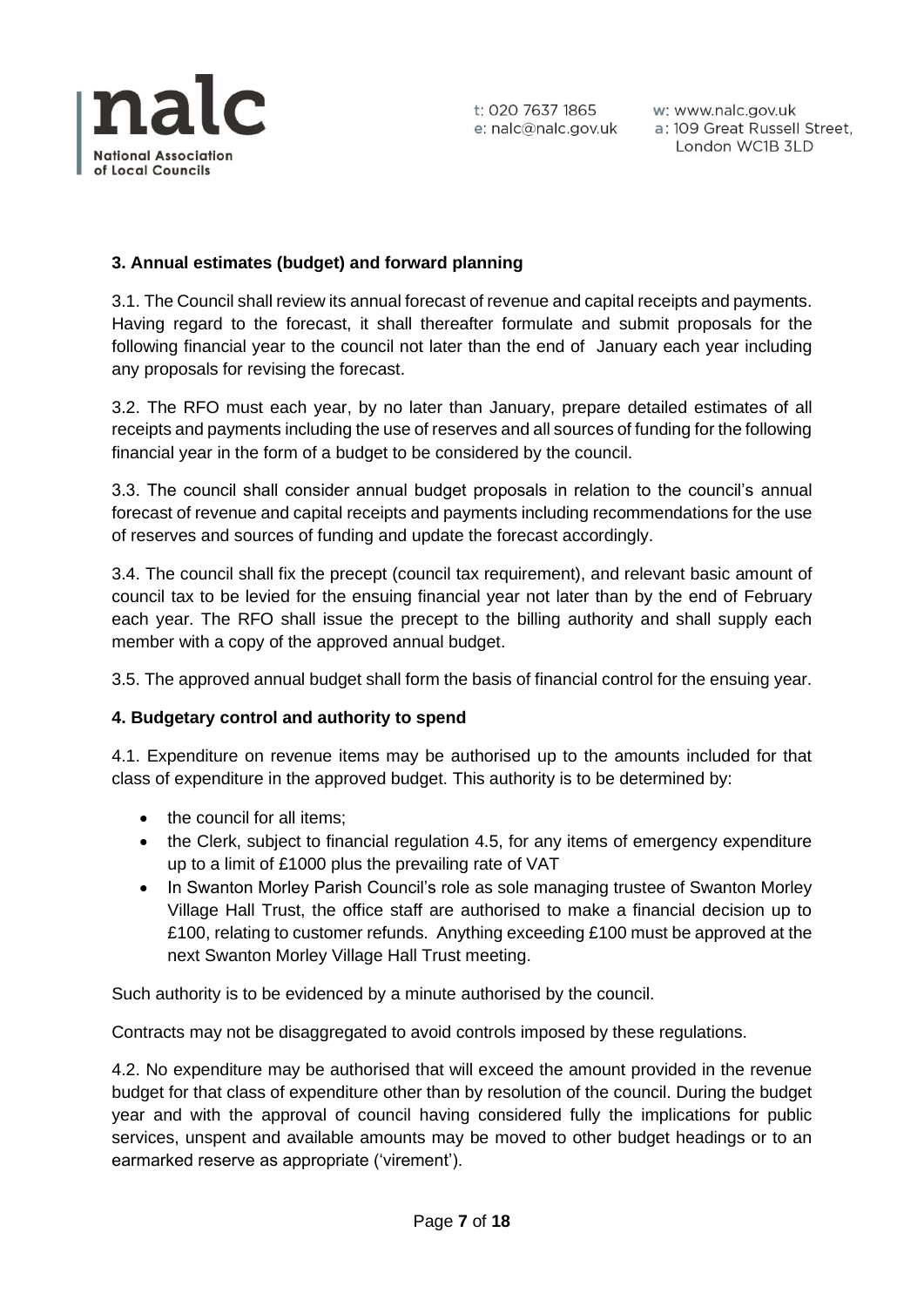

w: www.nalc.gov.uk a: 109 Great Russell Street, London WC1B 3LD

# **3. Annual estimates (budget) and forward planning**

3.1. The Council shall review its annual forecast of revenue and capital receipts and payments. Having regard to the forecast, it shall thereafter formulate and submit proposals for the following financial year to the council not later than the end of January each year including any proposals for revising the forecast.

3.2. The RFO must each year, by no later than January, prepare detailed estimates of all receipts and payments including the use of reserves and all sources of funding for the following financial year in the form of a budget to be considered by the council.

3.3. The council shall consider annual budget proposals in relation to the council's annual forecast of revenue and capital receipts and payments including recommendations for the use of reserves and sources of funding and update the forecast accordingly.

3.4. The council shall fix the precept (council tax requirement), and relevant basic amount of council tax to be levied for the ensuing financial year not later than by the end of February each year. The RFO shall issue the precept to the billing authority and shall supply each member with a copy of the approved annual budget.

3.5. The approved annual budget shall form the basis of financial control for the ensuing year.

#### **4. Budgetary control and authority to spend**

4.1. Expenditure on revenue items may be authorised up to the amounts included for that class of expenditure in the approved budget. This authority is to be determined by:

- the council for all items;
- the Clerk, subject to financial regulation 4.5, for any items of emergency expenditure up to a limit of £1000 plus the prevailing rate of VAT
- In Swanton Morley Parish Council's role as sole managing trustee of Swanton Morley Village Hall Trust, the office staff are authorised to make a financial decision up to £100, relating to customer refunds. Anything exceeding £100 must be approved at the next Swanton Morley Village Hall Trust meeting.

Such authority is to be evidenced by a minute authorised by the council.

Contracts may not be disaggregated to avoid controls imposed by these regulations.

4.2. No expenditure may be authorised that will exceed the amount provided in the revenue budget for that class of expenditure other than by resolution of the council. During the budget year and with the approval of council having considered fully the implications for public services, unspent and available amounts may be moved to other budget headings or to an earmarked reserve as appropriate ('virement').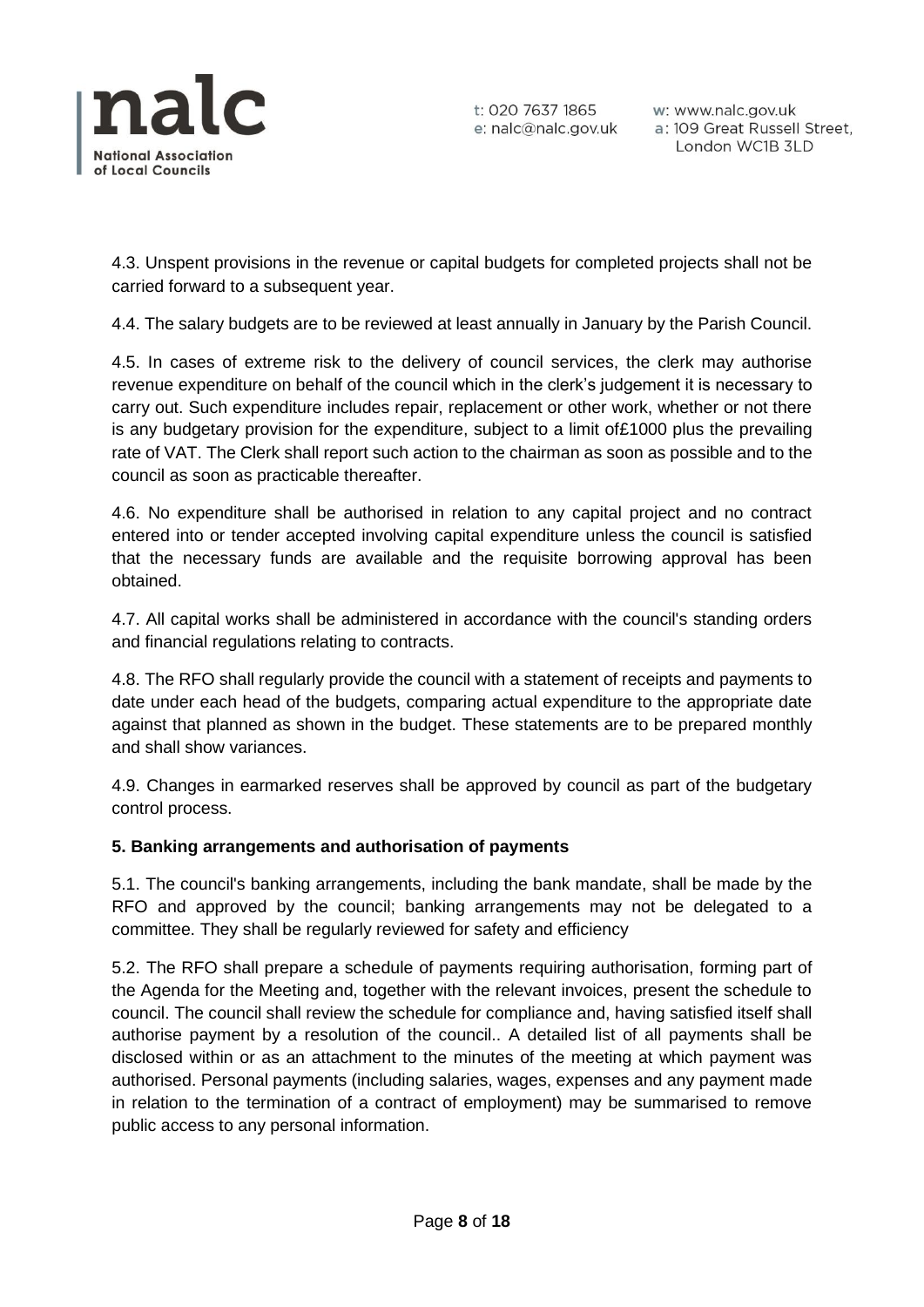

w: www.nalc.gov.uk a: 109 Great Russell Street, London WC1B 3LD

4.3. Unspent provisions in the revenue or capital budgets for completed projects shall not be carried forward to a subsequent year.

4.4. The salary budgets are to be reviewed at least annually in January by the Parish Council.

4.5. In cases of extreme risk to the delivery of council services, the clerk may authorise revenue expenditure on behalf of the council which in the clerk's judgement it is necessary to carry out. Such expenditure includes repair, replacement or other work, whether or not there is any budgetary provision for the expenditure, subject to a limit of£1000 plus the prevailing rate of VAT. The Clerk shall report such action to the chairman as soon as possible and to the council as soon as practicable thereafter.

4.6. No expenditure shall be authorised in relation to any capital project and no contract entered into or tender accepted involving capital expenditure unless the council is satisfied that the necessary funds are available and the requisite borrowing approval has been obtained.

4.7. All capital works shall be administered in accordance with the council's standing orders and financial regulations relating to contracts.

4.8. The RFO shall regularly provide the council with a statement of receipts and payments to date under each head of the budgets, comparing actual expenditure to the appropriate date against that planned as shown in the budget. These statements are to be prepared monthly and shall show variances.

4.9. Changes in earmarked reserves shall be approved by council as part of the budgetary control process.

#### **5. Banking arrangements and authorisation of payments**

5.1. The council's banking arrangements, including the bank mandate, shall be made by the RFO and approved by the council; banking arrangements may not be delegated to a committee. They shall be regularly reviewed for safety and efficiency

5.2. The RFO shall prepare a schedule of payments requiring authorisation, forming part of the Agenda for the Meeting and, together with the relevant invoices, present the schedule to council. The council shall review the schedule for compliance and, having satisfied itself shall authorise payment by a resolution of the council.. A detailed list of all payments shall be disclosed within or as an attachment to the minutes of the meeting at which payment was authorised. Personal payments (including salaries, wages, expenses and any payment made in relation to the termination of a contract of employment) may be summarised to remove public access to any personal information.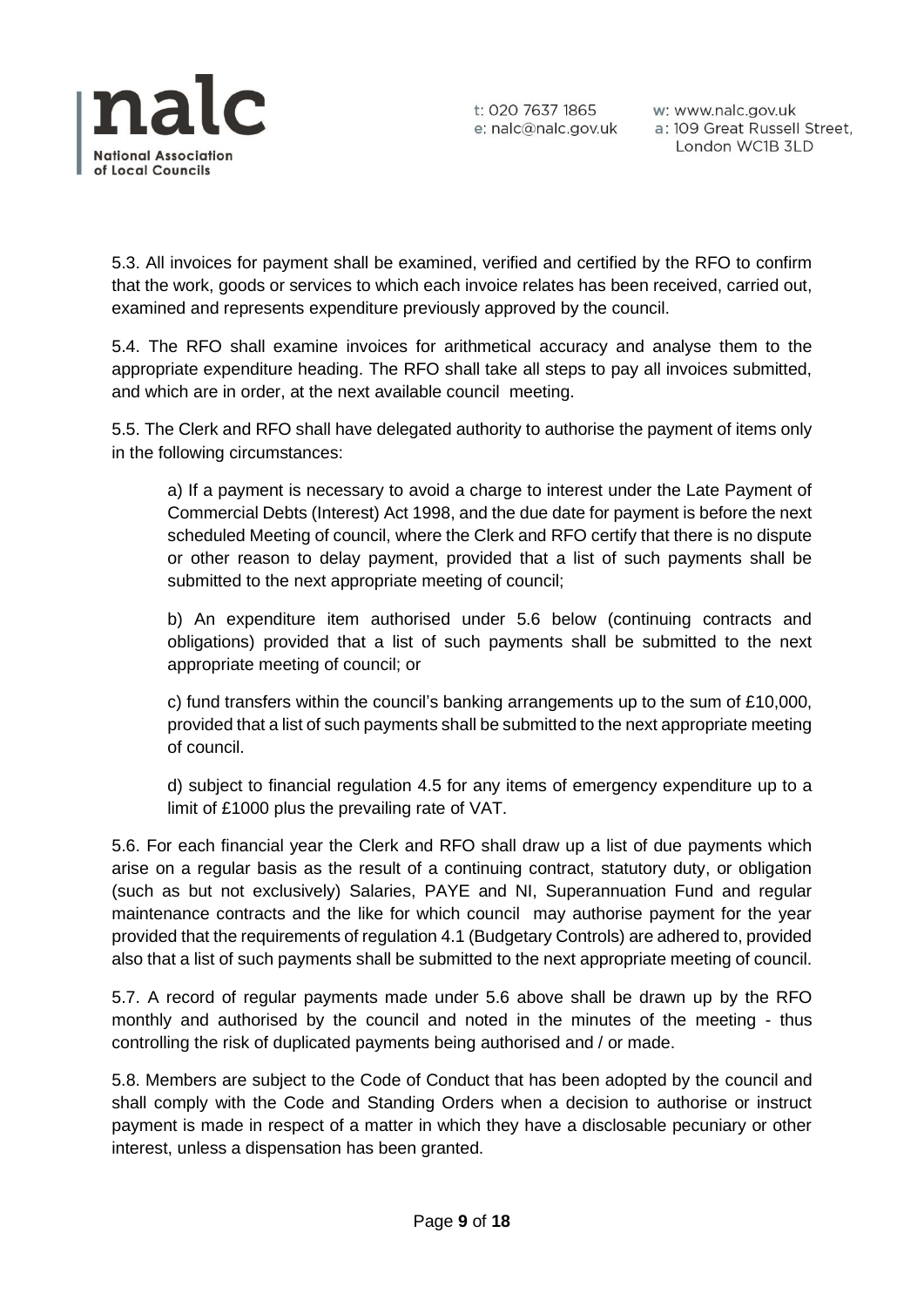

w: www.nalc.gov.uk a: 109 Great Russell Street, London WC1B 3LD

5.3. All invoices for payment shall be examined, verified and certified by the RFO to confirm that the work, goods or services to which each invoice relates has been received, carried out, examined and represents expenditure previously approved by the council.

5.4. The RFO shall examine invoices for arithmetical accuracy and analyse them to the appropriate expenditure heading. The RFO shall take all steps to pay all invoices submitted, and which are in order, at the next available council meeting.

5.5. The Clerk and RFO shall have delegated authority to authorise the payment of items only in the following circumstances:

a) If a payment is necessary to avoid a charge to interest under the Late Payment of Commercial Debts (Interest) Act 1998, and the due date for payment is before the next scheduled Meeting of council, where the Clerk and RFO certify that there is no dispute or other reason to delay payment, provided that a list of such payments shall be submitted to the next appropriate meeting of council;

b) An expenditure item authorised under 5.6 below (continuing contracts and obligations) provided that a list of such payments shall be submitted to the next appropriate meeting of council; or

c) fund transfers within the council's banking arrangements up to the sum of £10,000, provided that a list of such payments shall be submitted to the next appropriate meeting of council.

d) subject to financial regulation 4.5 for any items of emergency expenditure up to a limit of £1000 plus the prevailing rate of VAT.

5.6. For each financial year the Clerk and RFO shall draw up a list of due payments which arise on a regular basis as the result of a continuing contract, statutory duty, or obligation (such as but not exclusively) Salaries, PAYE and NI, Superannuation Fund and regular maintenance contracts and the like for which council may authorise payment for the year provided that the requirements of regulation 4.1 (Budgetary Controls) are adhered to, provided also that a list of such payments shall be submitted to the next appropriate meeting of council.

5.7. A record of regular payments made under 5.6 above shall be drawn up by the RFO monthly and authorised by the council and noted in the minutes of the meeting - thus controlling the risk of duplicated payments being authorised and / or made.

5.8. Members are subject to the Code of Conduct that has been adopted by the council and shall comply with the Code and Standing Orders when a decision to authorise or instruct payment is made in respect of a matter in which they have a disclosable pecuniary or other interest, unless a dispensation has been granted.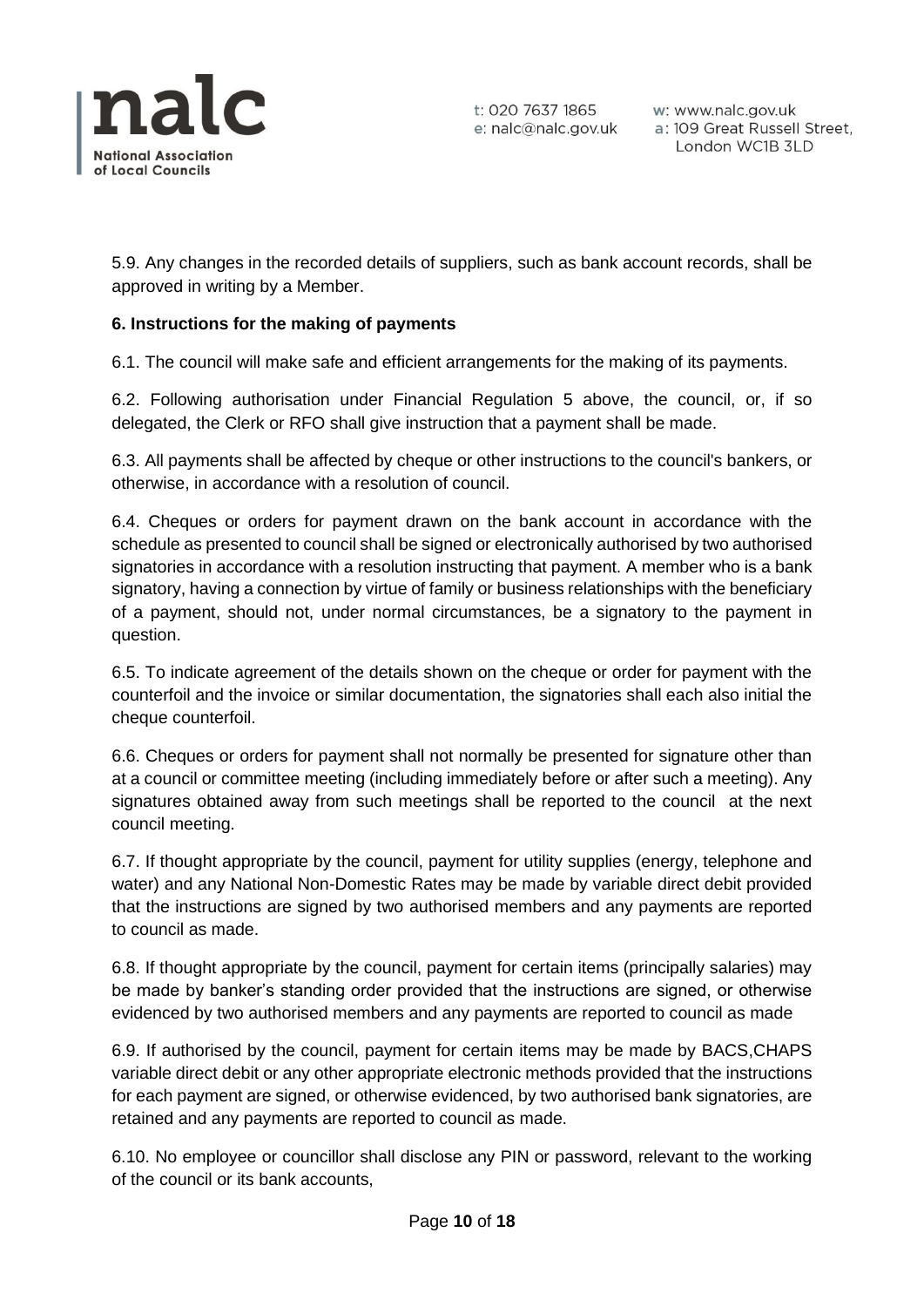

5.9. Any changes in the recorded details of suppliers, such as bank account records, shall be approved in writing by a Member.

# **6. Instructions for the making of payments**

6.1. The council will make safe and efficient arrangements for the making of its payments.

6.2. Following authorisation under Financial Regulation 5 above, the council, or, if so delegated, the Clerk or RFO shall give instruction that a payment shall be made.

6.3. All payments shall be affected by cheque or other instructions to the council's bankers, or otherwise, in accordance with a resolution of council.

6.4. Cheques or orders for payment drawn on the bank account in accordance with the schedule as presented to council shall be signed or electronically authorised by two authorised signatories in accordance with a resolution instructing that payment. A member who is a bank signatory, having a connection by virtue of family or business relationships with the beneficiary of a payment, should not, under normal circumstances, be a signatory to the payment in question.

6.5. To indicate agreement of the details shown on the cheque or order for payment with the counterfoil and the invoice or similar documentation, the signatories shall each also initial the cheque counterfoil.

6.6. Cheques or orders for payment shall not normally be presented for signature other than at a council or committee meeting (including immediately before or after such a meeting). Any signatures obtained away from such meetings shall be reported to the council at the next council meeting.

6.7. If thought appropriate by the council, payment for utility supplies (energy, telephone and water) and any National Non-Domestic Rates may be made by variable direct debit provided that the instructions are signed by two authorised members and any payments are reported to council as made.

6.8. If thought appropriate by the council, payment for certain items (principally salaries) may be made by banker's standing order provided that the instructions are signed, or otherwise evidenced by two authorised members and any payments are reported to council as made

6.9. If authorised by the council, payment for certain items may be made by BACS,CHAPS variable direct debit or any other appropriate electronic methods provided that the instructions for each payment are signed, or otherwise evidenced, by two authorised bank signatories, are retained and any payments are reported to council as made.

6.10. No employee or councillor shall disclose any PIN or password, relevant to the working of the council or its bank accounts,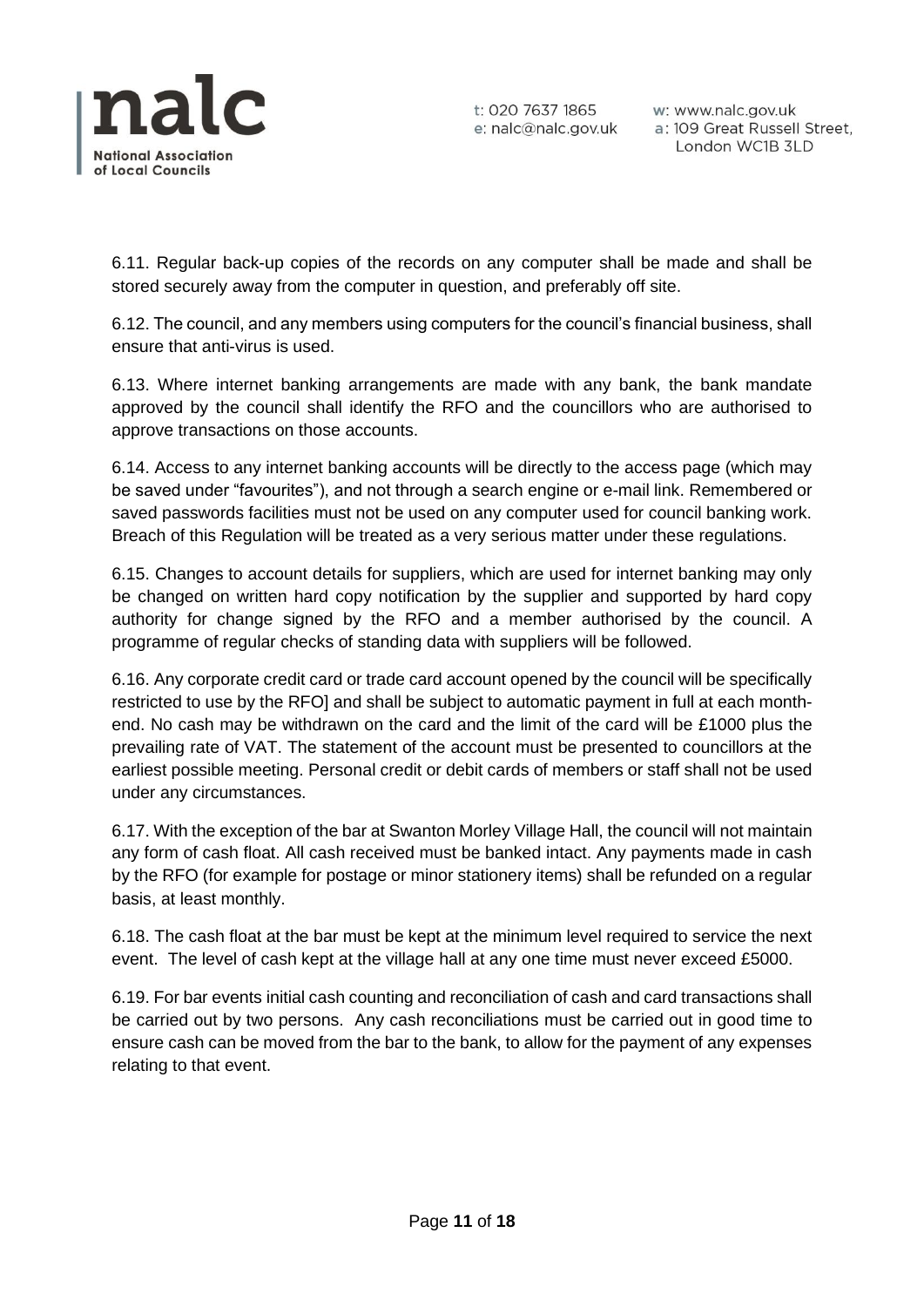

w: www.nalc.gov.uk a: 109 Great Russell Street, London WC1B 3LD

6.11. Regular back-up copies of the records on any computer shall be made and shall be stored securely away from the computer in question, and preferably off site.

6.12. The council, and any members using computers for the council's financial business, shall ensure that anti-virus is used.

6.13. Where internet banking arrangements are made with any bank, the bank mandate approved by the council shall identify the RFO and the councillors who are authorised to approve transactions on those accounts.

6.14. Access to any internet banking accounts will be directly to the access page (which may be saved under "favourites"), and not through a search engine or e-mail link. Remembered or saved passwords facilities must not be used on any computer used for council banking work. Breach of this Regulation will be treated as a very serious matter under these regulations.

6.15. Changes to account details for suppliers, which are used for internet banking may only be changed on written hard copy notification by the supplier and supported by hard copy authority for change signed by the RFO and a member authorised by the council. A programme of regular checks of standing data with suppliers will be followed.

6.16. Any corporate credit card or trade card account opened by the council will be specifically restricted to use by the RFO] and shall be subject to automatic payment in full at each monthend. No cash may be withdrawn on the card and the limit of the card will be £1000 plus the prevailing rate of VAT. The statement of the account must be presented to councillors at the earliest possible meeting. Personal credit or debit cards of members or staff shall not be used under any circumstances.

6.17. With the exception of the bar at Swanton Morley Village Hall, the council will not maintain any form of cash float. All cash received must be banked intact. Any payments made in cash by the RFO (for example for postage or minor stationery items) shall be refunded on a regular basis, at least monthly.

6.18. The cash float at the bar must be kept at the minimum level required to service the next event. The level of cash kept at the village hall at any one time must never exceed £5000.

6.19. For bar events initial cash counting and reconciliation of cash and card transactions shall be carried out by two persons. Any cash reconciliations must be carried out in good time to ensure cash can be moved from the bar to the bank, to allow for the payment of any expenses relating to that event.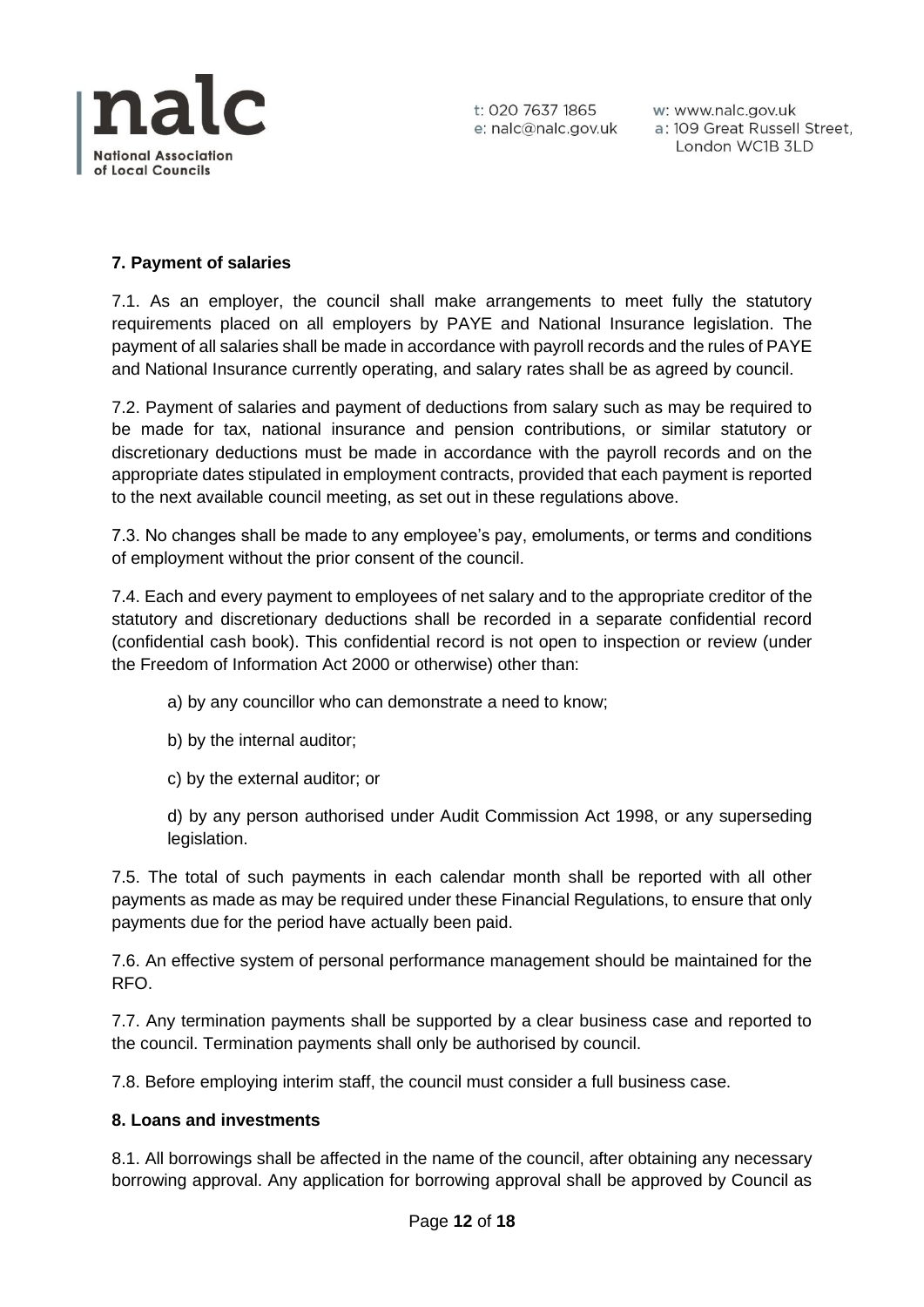

w: www.nalc.gov.uk a: 109 Great Russell Street, London WC1B 3LD

# **7. Payment of salaries**

7.1. As an employer, the council shall make arrangements to meet fully the statutory requirements placed on all employers by PAYE and National Insurance legislation. The payment of all salaries shall be made in accordance with payroll records and the rules of PAYE and National Insurance currently operating, and salary rates shall be as agreed by council.

7.2. Payment of salaries and payment of deductions from salary such as may be required to be made for tax, national insurance and pension contributions, or similar statutory or discretionary deductions must be made in accordance with the payroll records and on the appropriate dates stipulated in employment contracts, provided that each payment is reported to the next available council meeting, as set out in these regulations above.

7.3. No changes shall be made to any employee's pay, emoluments, or terms and conditions of employment without the prior consent of the council.

7.4. Each and every payment to employees of net salary and to the appropriate creditor of the statutory and discretionary deductions shall be recorded in a separate confidential record (confidential cash book). This confidential record is not open to inspection or review (under the Freedom of Information Act 2000 or otherwise) other than:

- a) by any councillor who can demonstrate a need to know;
- b) by the internal auditor;
- c) by the external auditor; or

d) by any person authorised under Audit Commission Act 1998, or any superseding legislation.

7.5. The total of such payments in each calendar month shall be reported with all other payments as made as may be required under these Financial Regulations, to ensure that only payments due for the period have actually been paid.

7.6. An effective system of personal performance management should be maintained for the RFO.

7.7. Any termination payments shall be supported by a clear business case and reported to the council. Termination payments shall only be authorised by council.

7.8. Before employing interim staff, the council must consider a full business case.

#### **8. Loans and investments**

8.1. All borrowings shall be affected in the name of the council, after obtaining any necessary borrowing approval. Any application for borrowing approval shall be approved by Council as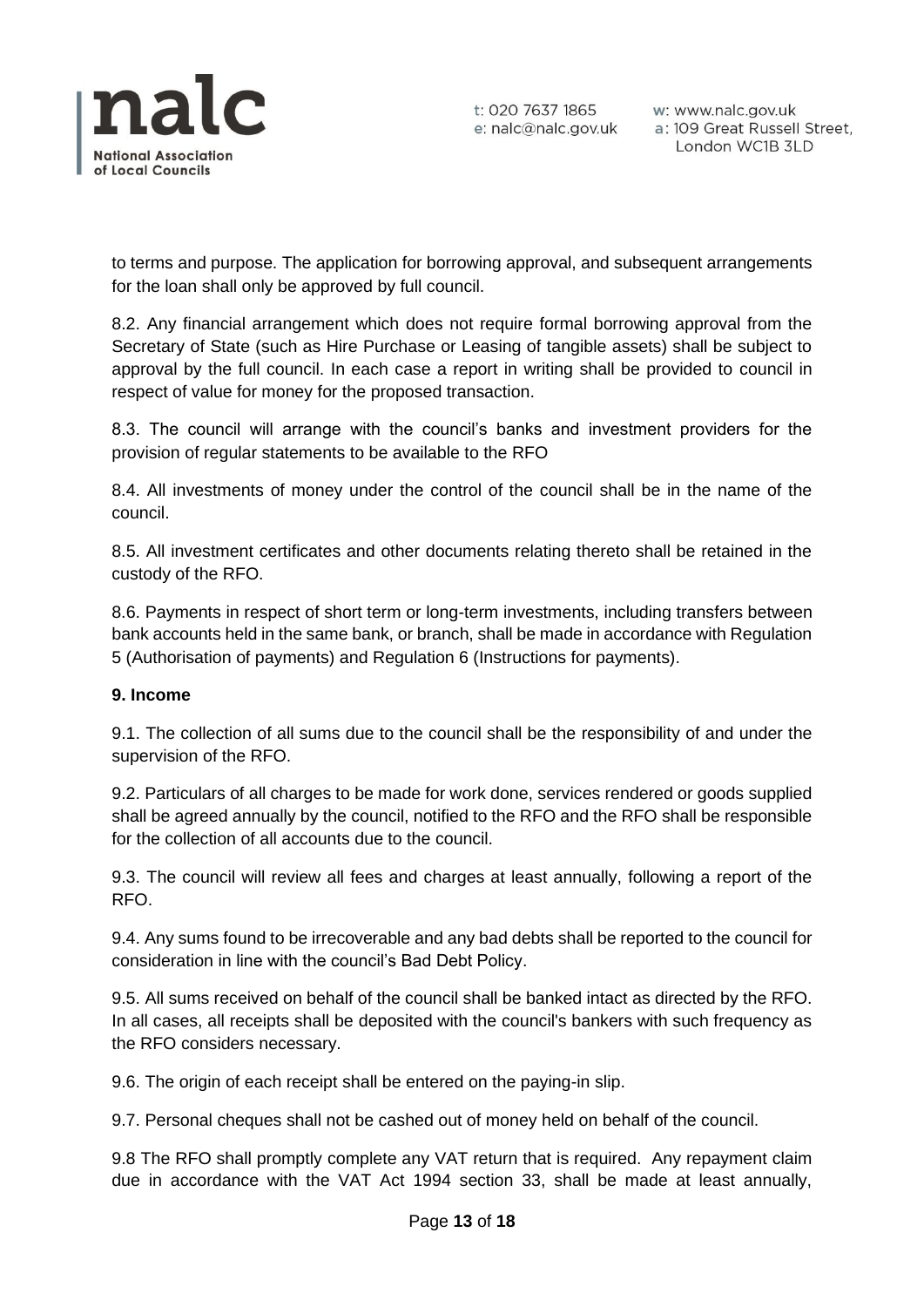

to terms and purpose. The application for borrowing approval, and subsequent arrangements for the loan shall only be approved by full council.

8.2. Any financial arrangement which does not require formal borrowing approval from the Secretary of State (such as Hire Purchase or Leasing of tangible assets) shall be subject to approval by the full council. In each case a report in writing shall be provided to council in respect of value for money for the proposed transaction.

8.3. The council will arrange with the council's banks and investment providers for the provision of regular statements to be available to the RFO

8.4. All investments of money under the control of the council shall be in the name of the council.

8.5. All investment certificates and other documents relating thereto shall be retained in the custody of the RFO.

8.6. Payments in respect of short term or long-term investments, including transfers between bank accounts held in the same bank, or branch, shall be made in accordance with Regulation 5 (Authorisation of payments) and Regulation 6 (Instructions for payments).

# **9. Income**

9.1. The collection of all sums due to the council shall be the responsibility of and under the supervision of the RFO.

9.2. Particulars of all charges to be made for work done, services rendered or goods supplied shall be agreed annually by the council, notified to the RFO and the RFO shall be responsible for the collection of all accounts due to the council.

9.3. The council will review all fees and charges at least annually, following a report of the RFO.

9.4. Any sums found to be irrecoverable and any bad debts shall be reported to the council for consideration in line with the council's Bad Debt Policy.

9.5. All sums received on behalf of the council shall be banked intact as directed by the RFO. In all cases, all receipts shall be deposited with the council's bankers with such frequency as the RFO considers necessary.

9.6. The origin of each receipt shall be entered on the paying-in slip.

9.7. Personal cheques shall not be cashed out of money held on behalf of the council.

9.8 The RFO shall promptly complete any VAT return that is required. Any repayment claim due in accordance with the VAT Act 1994 section 33, shall be made at least annually,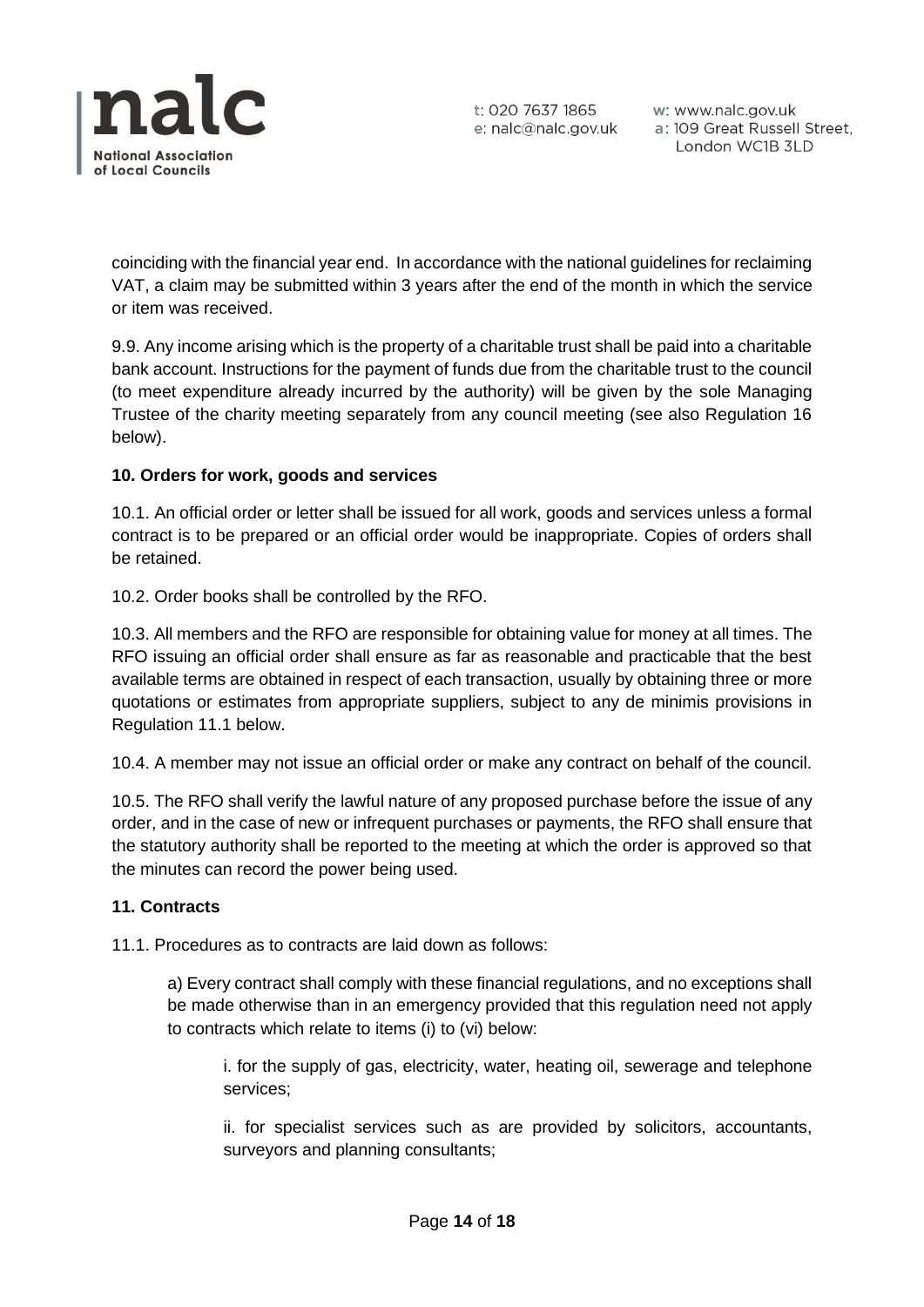

coinciding with the financial year end. In accordance with the national guidelines for reclaiming VAT, a claim may be submitted within 3 years after the end of the month in which the service or item was received.

9.9. Any income arising which is the property of a charitable trust shall be paid into a charitable bank account. Instructions for the payment of funds due from the charitable trust to the council (to meet expenditure already incurred by the authority) will be given by the sole Managing Trustee of the charity meeting separately from any council meeting (see also Regulation 16 below).

# **10. Orders for work, goods and services**

10.1. An official order or letter shall be issued for all work, goods and services unless a formal contract is to be prepared or an official order would be inappropriate. Copies of orders shall be retained.

10.2. Order books shall be controlled by the RFO.

10.3. All members and the RFO are responsible for obtaining value for money at all times. The RFO issuing an official order shall ensure as far as reasonable and practicable that the best available terms are obtained in respect of each transaction, usually by obtaining three or more quotations or estimates from appropriate suppliers, subject to any de minimis provisions in Regulation 11.1 below.

10.4. A member may not issue an official order or make any contract on behalf of the council.

10.5. The RFO shall verify the lawful nature of any proposed purchase before the issue of any order, and in the case of new or infrequent purchases or payments, the RFO shall ensure that the statutory authority shall be reported to the meeting at which the order is approved so that the minutes can record the power being used.

# **11. Contracts**

11.1. Procedures as to contracts are laid down as follows:

a) Every contract shall comply with these financial regulations, and no exceptions shall be made otherwise than in an emergency provided that this regulation need not apply to contracts which relate to items (i) to (vi) below:

i. for the supply of gas, electricity, water, heating oil, sewerage and telephone services;

ii. for specialist services such as are provided by solicitors, accountants, surveyors and planning consultants;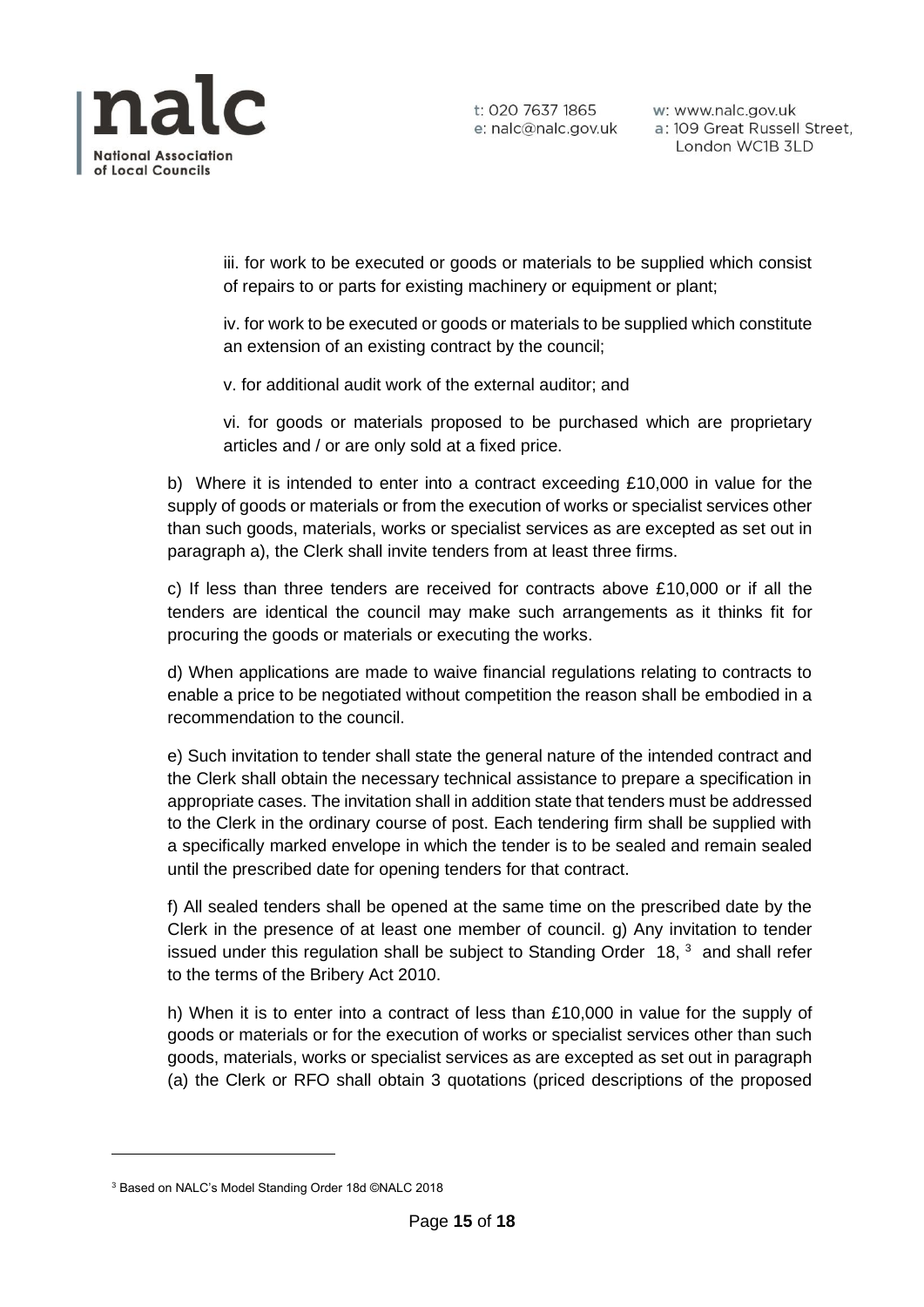

iii. for work to be executed or goods or materials to be supplied which consist of repairs to or parts for existing machinery or equipment or plant;

iv. for work to be executed or goods or materials to be supplied which constitute an extension of an existing contract by the council;

v. for additional audit work of the external auditor; and

vi. for goods or materials proposed to be purchased which are proprietary articles and / or are only sold at a fixed price.

b) Where it is intended to enter into a contract exceeding £10,000 in value for the supply of goods or materials or from the execution of works or specialist services other than such goods, materials, works or specialist services as are excepted as set out in paragraph a), the Clerk shall invite tenders from at least three firms.

c) If less than three tenders are received for contracts above £10,000 or if all the tenders are identical the council may make such arrangements as it thinks fit for procuring the goods or materials or executing the works.

d) When applications are made to waive financial regulations relating to contracts to enable a price to be negotiated without competition the reason shall be embodied in a recommendation to the council.

e) Such invitation to tender shall state the general nature of the intended contract and the Clerk shall obtain the necessary technical assistance to prepare a specification in appropriate cases. The invitation shall in addition state that tenders must be addressed to the Clerk in the ordinary course of post. Each tendering firm shall be supplied with a specifically marked envelope in which the tender is to be sealed and remain sealed until the prescribed date for opening tenders for that contract.

f) All sealed tenders shall be opened at the same time on the prescribed date by the Clerk in the presence of at least one member of council. g) Any invitation to tender issued under this regulation shall be subject to Standing Order  $18$ ,  $3$  and shall refer to the terms of the Bribery Act 2010.

h) When it is to enter into a contract of less than £10,000 in value for the supply of goods or materials or for the execution of works or specialist services other than such goods, materials, works or specialist services as are excepted as set out in paragraph (a) the Clerk or RFO shall obtain 3 quotations (priced descriptions of the proposed

<sup>3</sup> Based on NALC's Model Standing Order 18d ©NALC 2018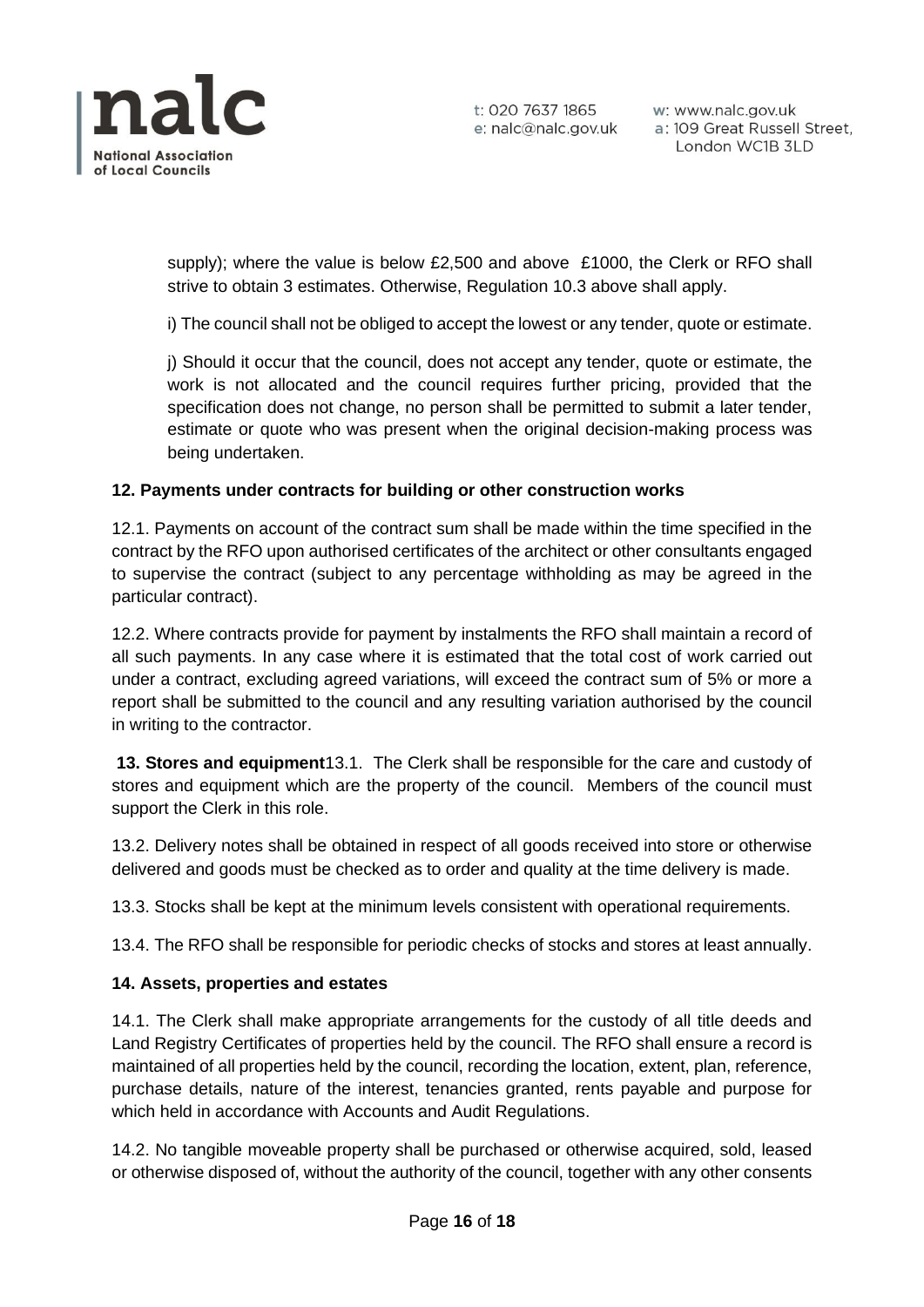

supply); where the value is below £2,500 and above £1000, the Clerk or RFO shall strive to obtain 3 estimates. Otherwise, Regulation 10.3 above shall apply.

i) The council shall not be obliged to accept the lowest or any tender, quote or estimate.

j) Should it occur that the council, does not accept any tender, quote or estimate, the work is not allocated and the council requires further pricing, provided that the specification does not change, no person shall be permitted to submit a later tender, estimate or quote who was present when the original decision-making process was being undertaken.

# **12. Payments under contracts for building or other construction works**

12.1. Payments on account of the contract sum shall be made within the time specified in the contract by the RFO upon authorised certificates of the architect or other consultants engaged to supervise the contract (subject to any percentage withholding as may be agreed in the particular contract).

12.2. Where contracts provide for payment by instalments the RFO shall maintain a record of all such payments. In any case where it is estimated that the total cost of work carried out under a contract, excluding agreed variations, will exceed the contract sum of 5% or more a report shall be submitted to the council and any resulting variation authorised by the council in writing to the contractor.

**13. Stores and equipment**13.1. The Clerk shall be responsible for the care and custody of stores and equipment which are the property of the council. Members of the council must support the Clerk in this role.

13.2. Delivery notes shall be obtained in respect of all goods received into store or otherwise delivered and goods must be checked as to order and quality at the time delivery is made.

13.3. Stocks shall be kept at the minimum levels consistent with operational requirements.

13.4. The RFO shall be responsible for periodic checks of stocks and stores at least annually.

#### **14. Assets, properties and estates**

14.1. The Clerk shall make appropriate arrangements for the custody of all title deeds and Land Registry Certificates of properties held by the council. The RFO shall ensure a record is maintained of all properties held by the council, recording the location, extent, plan, reference, purchase details, nature of the interest, tenancies granted, rents payable and purpose for which held in accordance with Accounts and Audit Regulations.

14.2. No tangible moveable property shall be purchased or otherwise acquired, sold, leased or otherwise disposed of, without the authority of the council, together with any other consents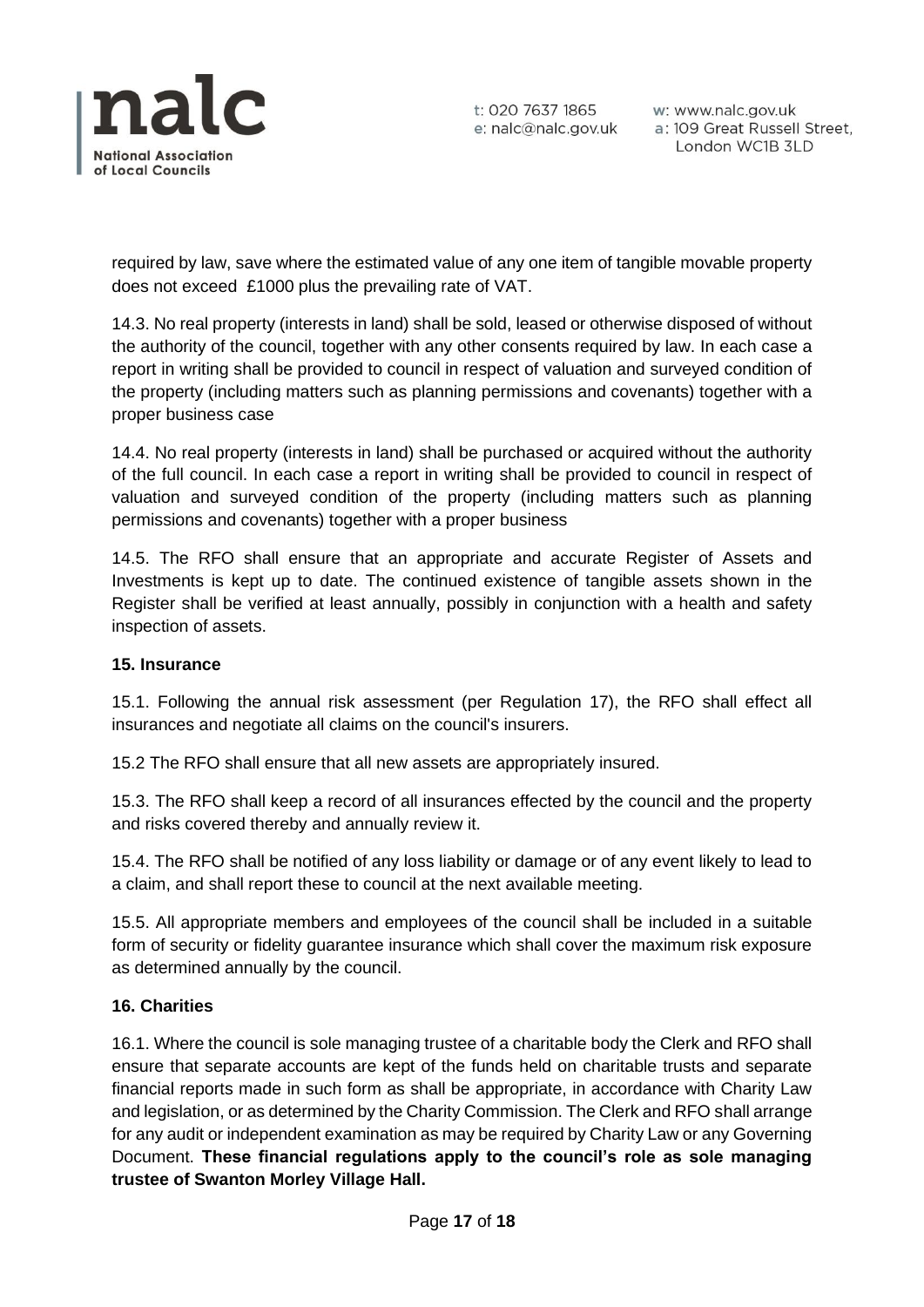

w: www.nalc.gov.uk a: 109 Great Russell Street, London WC1B 3LD

required by law, save where the estimated value of any one item of tangible movable property does not exceed £1000 plus the prevailing rate of VAT.

14.3. No real property (interests in land) shall be sold, leased or otherwise disposed of without the authority of the council, together with any other consents required by law. In each case a report in writing shall be provided to council in respect of valuation and surveyed condition of the property (including matters such as planning permissions and covenants) together with a proper business case

14.4. No real property (interests in land) shall be purchased or acquired without the authority of the full council. In each case a report in writing shall be provided to council in respect of valuation and surveyed condition of the property (including matters such as planning permissions and covenants) together with a proper business

14.5. The RFO shall ensure that an appropriate and accurate Register of Assets and Investments is kept up to date. The continued existence of tangible assets shown in the Register shall be verified at least annually, possibly in conjunction with a health and safety inspection of assets.

# **15. Insurance**

15.1. Following the annual risk assessment (per Regulation 17), the RFO shall effect all insurances and negotiate all claims on the council's insurers.

15.2 The RFO shall ensure that all new assets are appropriately insured.

15.3. The RFO shall keep a record of all insurances effected by the council and the property and risks covered thereby and annually review it.

15.4. The RFO shall be notified of any loss liability or damage or of any event likely to lead to a claim, and shall report these to council at the next available meeting.

15.5. All appropriate members and employees of the council shall be included in a suitable form of security or fidelity guarantee insurance which shall cover the maximum risk exposure as determined annually by the council.

#### **16. Charities**

16.1. Where the council is sole managing trustee of a charitable body the Clerk and RFO shall ensure that separate accounts are kept of the funds held on charitable trusts and separate financial reports made in such form as shall be appropriate, in accordance with Charity Law and legislation, or as determined by the Charity Commission. The Clerk and RFO shall arrange for any audit or independent examination as may be required by Charity Law or any Governing Document. **These financial regulations apply to the council's role as sole managing trustee of Swanton Morley Village Hall.**